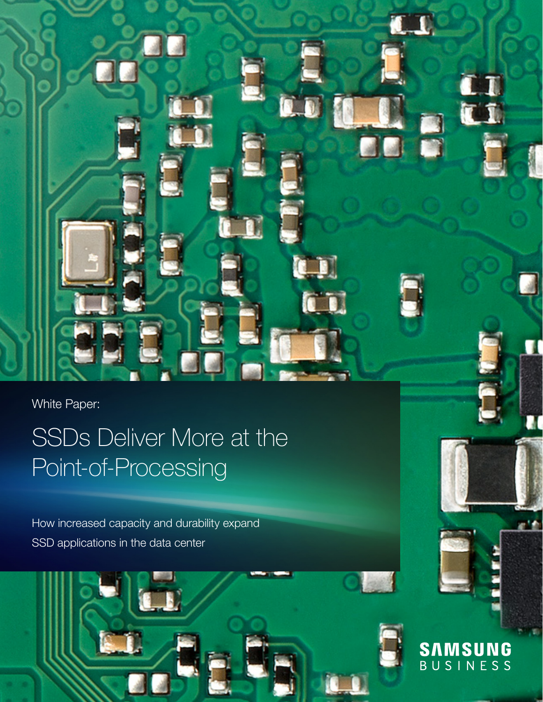White Paper:

# SSDs Deliver More at the Point-of-Processing

How increased capacity and durability expand SSD applications in the data center



e tel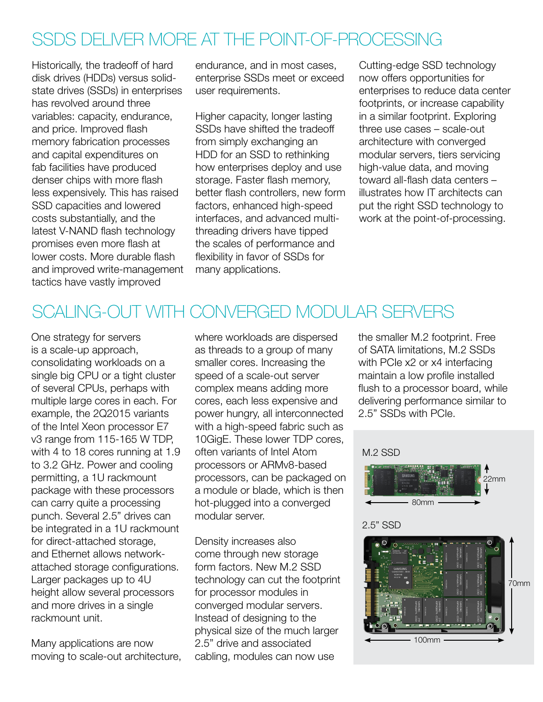### SSDs Deliver More at the Point-of-Processing

Historically, the tradeoff of hard disk drives (HDDs) versus solidstate drives (SSDs) in enterprises has revolved around three variables: capacity, endurance, and price. Improved flash memory fabrication processes and capital expenditures on fab facilities have produced denser chips with more flash less expensively. This has raised SSD capacities and lowered costs substantially, and the latest V-NAND flash technology promises even more flash at lower costs. More durable flash and improved write-management tactics have vastly improved

endurance, and in most cases, enterprise SSDs meet or exceed user requirements.

Higher capacity, longer lasting SSDs have shifted the tradeoff from simply exchanging an HDD for an SSD to rethinking how enterprises deploy and use storage. Faster flash memory, better flash controllers, new form factors, enhanced high-speed interfaces, and advanced multithreading drivers have tipped the scales of performance and flexibility in favor of SSDs for many applications.

Cutting-edge SSD technology now offers opportunities for enterprises to reduce data center footprints, or increase capability in a similar footprint. Exploring three use cases – scale-out architecture with converged modular servers, tiers servicing high-value data, and moving toward all-flash data centers – illustrates how IT architects can put the right SSD technology to work at the point-of-processing.

## Scaling-Out with Converged Modular Servers

One strategy for servers is a scale-up approach, consolidating workloads on a single big CPU or a tight cluster of several CPUs, perhaps with multiple large cores in each. For example, the 2Q2015 variants of the Intel Xeon processor E7 v3 range from 115-165 W TDP, with 4 to 18 cores running at 1.9 to 3.2 GHz. Power and cooling permitting, a 1U rackmount package with these processors can carry quite a processing punch. Several 2.5" drives can be integrated in a 1U rackmount for direct-attached storage, and Ethernet allows networkattached storage configurations. Larger packages up to 4U height allow several processors and more drives in a single rackmount unit.

Many applications are now moving to scale-out architecture, where workloads are dispersed as threads to a group of many smaller cores. Increasing the speed of a scale-out server complex means adding more cores, each less expensive and power hungry, all interconnected with a high-speed fabric such as 10GigE. These lower TDP cores, often variants of Intel Atom processors or ARMv8-based processors, can be packaged on a module or blade, which is then hot-plugged into a converged modular server.

Density increases also come through new storage form factors. New M.2 SSD technology can cut the footprint for processor modules in converged modular servers. Instead of designing to the physical size of the much larger 2.5" drive and associated cabling, modules can now use

the smaller M.2 footprint. Free of SATA limitations, M.2 SSDs with PCIe x2 or x4 interfacing maintain a low profile installed flush to a processor board, while delivering performance similar to 2.5" SSDs with PCIe.

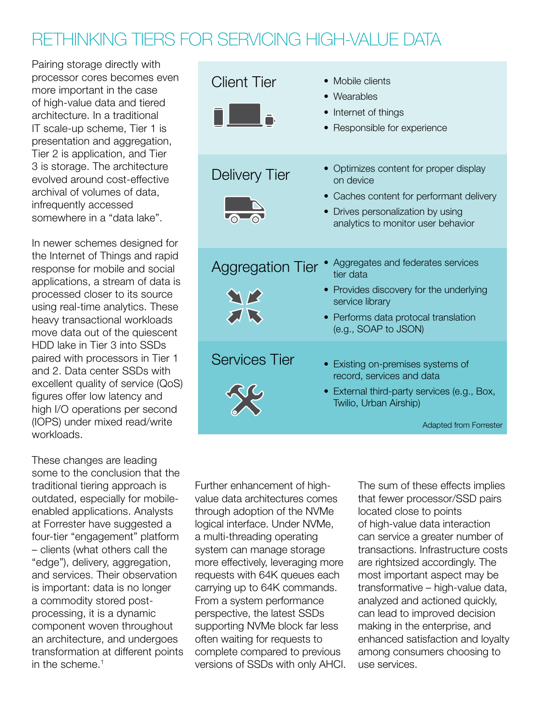### Rethinking Tiers for Servicing High-Value Data

Pairing storage directly with processor cores becomes even more important in the case of high-value data and tiered architecture. In a traditional IT scale-up scheme, Tier 1 is presentation and aggregation, Tier 2 is application, and Tier 3 is storage. The architecture evolved around cost-effective archival of volumes of data, infrequently accessed somewhere in a "data lake".

In newer schemes designed for the Internet of Things and rapid response for mobile and social applications, a stream of data is processed closer to its source using real-time analytics. These heavy transactional workloads move data out of the quiescent HDD lake in Tier 3 into SSDs paired with processors in Tier 1 and 2. Data center SSDs with excellent quality of service (QoS) figures offer low latency and high I/O operations per second (IOPS) under mixed read/write workloads.

These changes are leading some to the conclusion that the traditional tiering approach is outdated, especially for mobileenabled applications. Analysts at Forrester have suggested a four-tier "engagement" platform – clients (what others call the "edge"), delivery, aggregation, and services. Their observation is important: data is no longer a commodity stored postprocessing, it is a dynamic component woven throughout an architecture, and undergoes transformation at different points in the scheme.<sup>1</sup>



Further enhancement of highvalue data architectures comes through adoption of the NVMe logical interface. Under NVMe, a multi-threading operating system can manage storage more effectively, leveraging more requests with 64K queues each carrying up to 64K commands. From a system performance perspective, the latest SSDs supporting NVMe block far less often waiting for requests to complete compared to previous versions of SSDs with only AHCI. The sum of these effects implies that fewer processor/SSD pairs located close to points of high-value data interaction can service a greater number of transactions. Infrastructure costs are rightsized accordingly. The most important aspect may be transformative – high-value data, analyzed and actioned quickly, can lead to improved decision making in the enterprise, and enhanced satisfaction and loyalty among consumers choosing to use services.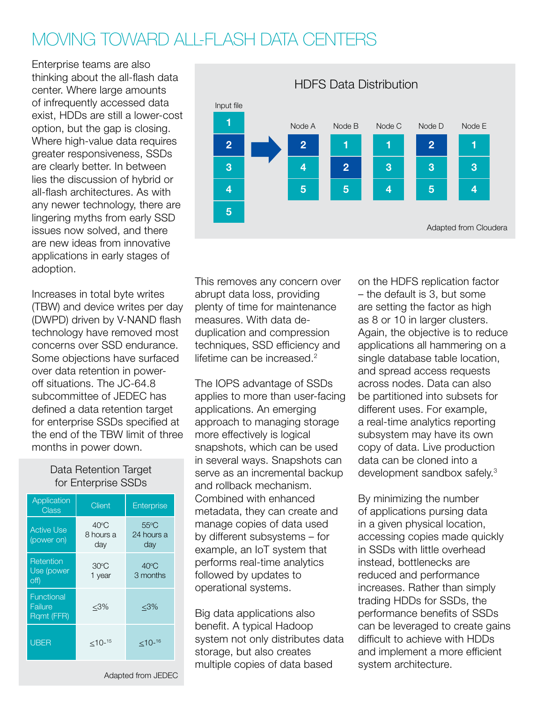### Moving Toward All-Flash Data Centers

Enterprise teams are also thinking about the all-flash data center. Where large amounts of infrequently accessed data exist, HDDs are still a lower-cost option, but the gap is closing. Where high-value data requires greater responsiveness, SSDs are clearly better. In between lies the discussion of hybrid or all-flash architectures. As with any newer technology, there are lingering myths from early SSD issues now solved, and there are new ideas from innovative applications in early stages of adoption.

Increases in total byte writes (TBW) and device writes per day (DWPD) driven by V-NAND flash technology have removed most concerns over SSD endurance. Some objections have surfaced over data retention in poweroff situations. The JC-64.8 subcommittee of JEDEC has defined a data retention target for enterprise SSDs specified at the end of the TBW limit of three months in power down.

#### Data Retention Target for Enterprise SSDs

| Application<br>Class                | Client                             | Enterprise                          |
|-------------------------------------|------------------------------------|-------------------------------------|
| <b>Active Use</b><br>(power on)     | $40^{\circ}$ C<br>8 hours a<br>day | $55^{\circ}$ C<br>24 hours a<br>day |
| Retention<br>Use (power<br>off)     | $30^{\circ}$ C<br>1 year           | $40^{\circ}$ C<br>3 months          |
| Functional<br>Failure<br>Ramt (FFR) | $<$ 3%                             | <3%                                 |
| <b>UBER</b>                         | $<$ 10- <sup>15</sup>              | $<$ 10- <sup>16</sup>               |



This removes any concern over abrupt data loss, providing plenty of time for maintenance measures. With data deduplication and compression techniques, SSD efficiency and lifetime can be increased.<sup>2</sup>

The IOPS advantage of SSDs applies to more than user-facing applications. An emerging approach to managing storage more effectively is logical snapshots, which can be used in several ways. Snapshots can serve as an incremental backup and rollback mechanism. Combined with enhanced metadata, they can create and manage copies of data used by different subsystems – for example, an IoT system that performs real-time analytics followed by updates to operational systems.

Big data applications also benefit. A typical Hadoop system not only distributes data storage, but also creates multiple copies of data based

on the HDFS replication factor – the default is 3, but some are setting the factor as high as 8 or 10 in larger clusters. Again, the objective is to reduce applications all hammering on a single database table location, and spread access requests across nodes. Data can also be partitioned into subsets for different uses. For example, a real-time analytics reporting subsystem may have its own copy of data. Live production data can be cloned into a development sandbox safely.<sup>3</sup>

By minimizing the number of applications pursing data in a given physical location, accessing copies made quickly in SSDs with little overhead instead, bottlenecks are reduced and performance increases. Rather than simply trading HDDs for SSDs, the performance benefits of SSDs can be leveraged to create gains difficult to achieve with HDDs and implement a more efficient system architecture.

Adapted from JEDEC